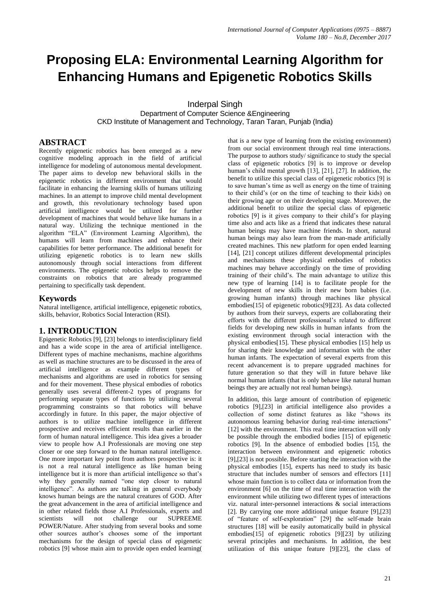# **Proposing ELA: Environmental Learning Algorithm for Enhancing Humans and Epigenetic Robotics Skills**

Inderpal Singh

Department of Computer Science &Engineering CKD Institute of Management and Technology, Taran Taran, Punjab (India)

### **ABSTRACT**

Recently epigenetic robotics has been emerged as a new cognitive modeling approach in the field of artificial intelligence for modeling of autonomous mental development. The paper aims to develop new behavioral skills in the epigenetic robotics in different environment that would facilitate in enhancing the learning skills of humans utilizing machines. In an attempt to improve child mental development and growth, this revolutionary technology based upon artificial intelligence would be utilized for further development of machines that would behave like humans in a natural way. Utilizing the technique mentioned in the algorithm "ELA" (Environment Learning Algorithm), the humans will learn from machines and enhance their capabilities for better performance. The additional benefit for utilizing epigenetic robotics is to learn new skills autonomously through social interactions from different environments. The epigenetic robotics helps to remove the constraints on robotics that are already programmed pertaining to specifically task dependent.

# **Keywords**

Natural intelligence, artificial intelligence, epigenetic robotics, skills, behavior, Robotics Social Interaction (RSI).

# **1. INTRODUCTION**

Epigenetic Robotics [9], [23] belongs to interdisciplinary field and has a wide scope in the area of artificial intelligence. Different types of machine mechanisms, machine algorithms as well as machine structures are to be discussed in the area of artificial intelligence as example different types of mechanisms and algorithms are used in robotics for sensing and for their movement. These physical embodies of robotics generally uses several different-2 types of programs for performing separate types of functions by utilizing several programming constraints so that robotics will behave accordingly in future. In this paper, the major objective of authors is to utilize machine intelligence in different prospective and receives efficient results than earlier in the form of human natural intelligence. This idea gives a broader view to people how A.I Professionals are moving one step closer or one step forward to the human natural intelligence. One more important key point from authors prospective is: it is not a real natural intelligence as like human being intelligence but it is more than artificial intelligence so that's why they generally named "one step closer to natural intelligence". As authors are talking in general everybody knows human beings are the natural creatures of GOD. After the great advancement in the area of artificial intelligence and in other related fields those A.I Professionals, experts and scientists will not challenge our SUPREEME POWER/Nature. After studying from several books and some other sources author's chooses some of the important mechanisms for the design of special class of epigenetic robotics [9] whose main aim to provide open ended learning(

that is a new type of learning from the existing environment) from our social environment through real time interactions. The purpose to authors study/ significance to study the special class of epigenetic robotics [9] is to improve or develop human's child mental growth [13], [21], [27]. In addition, the benefit to utilize this special class of epigenetic robotics [9] is to save human's time as well as energy on the time of training to their child's (or on the time of teaching to their kids) on their growing age or on their developing stage. Moreover, the additional benefit to utilize the special class of epigenetic robotics [9] is it gives company to their child's for playing time also and acts like as a friend that indicates these natural human beings may have machine friends. In short, natural human beings may also learn from the man-made artificially created machines. This new platform for open ended learning [14], [21] concept utilizes different developmental principles and mechanisms these physical embodies of robotics machines may behave accordingly on the time of providing training of their child's. The main advantage to utilize this new type of learning [14] is to facilitate people for the development of new skills in their new born babies (i.e. growing human infants) through machines like physical embodies[15] of epigenetic robotics[9][23]. As data collected by authors from their surveys, experts are collaborating their efforts with the different professional's related to different fields for developing new skills in human infants from the existing environment through social interaction with the physical embodies[15]. These physical embodies [15] help us for sharing their knowledge and information with the other human infants. The expectation of several experts from this recent advancement is to prepare upgraded machines for future generation so that they will in future behave like normal human infants (that is only behave like natural human beings they are actually not real human beings).

In addition, this large amount of contribution of epigenetic robotics [9],[23] in artificial intelligence also provides a collection of some distinct features as like "shows its autonomous learning behavior during real-time interactions" [12] with the environment. This real time interaction will only be possible through the embodied bodies [15] of epigenetic robotics [9]. In the absence of embodied bodies [15], the interaction between environment and epigenetic robotics [9],[23] is not possible. Before starting the interaction with the physical embodies [15], experts has need to study its basic structure that includes number of sensors and effectors [11] whose main function is to collect data or information from the environment [6] on the time of real time interaction with the environment while utilizing two different types of interactions viz. natural inter-personnel interactions & social interactions [2]. By carrying one more additional unique feature [9],[23] of "feature of self-exploration" [29] the self-made brain structures [18] will be easily automatically build in physical embodies[15] of epigenetic robotics [9][23] by utilizing several principles and mechanisms. In addition, the best utilization of this unique feature [9][23], the class of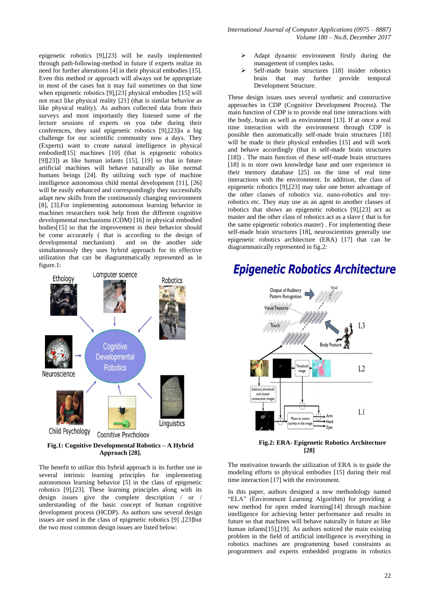epigenetic robotics [9],[23] will be easily implemented through path-following-method in future if experts realize its need for further alterations [4] in their physical embodies [15]. Even this method or approach will always not be appropriate in most of the cases but it may fail sometimes on that time when epigenetic robotics [9],[23] physical embodies [15] will not react like physical reality [21] (that is similar behavior as like physical reality). As authors collected data from their surveys and most importantly they listened some of the lecture sessions of experts on you tube during their conferences, they said epigenetic robotics [9],[23]is a big challenge for our scientific community now a days. They (Experts) want to create natural intelligence in physical embodied[15] machines [10] (that is epigenetic robotics [9][23]) as like human infants [15], [19] so that in future artificial machines will behave naturally as like normal humans beings [24]. By utilizing such type of machine intelligence autonomous child mental development [11], [26] will be easily enhanced and correspondingly they successfully adapt new skills from the continuously changing environment [8], [3].For implementing autonomous learning behavior in machines researchers took help from the different cognitive developmental mechanisms (CDM) [16] in physical embodied bodies[15] so that the improvement in their behavior should be come accurately ( that is according to the design of developmental mechanism) and on the another side simultaneously they uses hybrid approach for its effective utilization that can be diagrammatically represented as in figure.1:



**Fig.1: Cognitive Developmental Robotics – A Hybrid Approach [28].**

The benefit to utilize this hybrid approach is its further use in several intrinsic learning principles for implementing autonomous learning behavior [5] in the class of epigenetic robotics [9],[23]. These learning principles along with its design issues give the complete description / or / understanding of the basic concept of human cognitive development process (HCDP). As authors saw several design issues are used in the class of epigenetic robotics [9] ,[23]but the two most common design issues are listed below:

- Adapt dynamic environment firstly during the management of complex tasks.
- Self-made brain structures [18] insider robotics brain that may further provide temporal Development Structure.

These design issues uses several synthetic and constructive approaches in CDP (Cognitive Development Process). The main function of CDP is to provide real time interactions with the body, brain as well as environment [13]. If at once a real time interaction with the environment through CDP is possible then automatically self-made brain structures [18] will be made in their physical embodies [15] and will work and behave accordingly (that is self-made brain structures [18]). The main function of these self-made brain structures [18] is to store own knowledge base and user experience in their memory database [25] on the time of real time interactions with the environment. In addition, the class of epigenetic robotics [9],[23] may take one better advantage of the other classes of robotics viz. nano-robotics and toyrobotics etc. They may use as an agent to another classes of robotics that shows an epigenetic robotics [9],[23] act as master and the other class of robotics act as a slave ( that is for the same epigenetic robotics master) . For implementing these self-made brain structures [18], neuroscientists generally use epigenetic robotics architecture (ERA) [17] that can be diagrammatically represented in fig.2:

# **Epigenetic Robotics Architecture**



**Fig.2: ERA- Epigenetic Robotics Architecture [28]**

The motivation towards the utilization of ERA is to guide the modeling efforts to physical embodies [15] during their real time interaction [17] with the environment.

In this paper, authors designed a new methodology named "ELA" (Environment Learning Algorithm) for providing a new method for open ended learning[14] through machine intelligence for achieving better performance and results in future so that machines will behave naturally in future as like human infants[15],[19]. As authors noticed the main existing problem in the field of artificial intelligence is everything in robotics machines are programming based constraints as programmers and experts embedded programs in robotics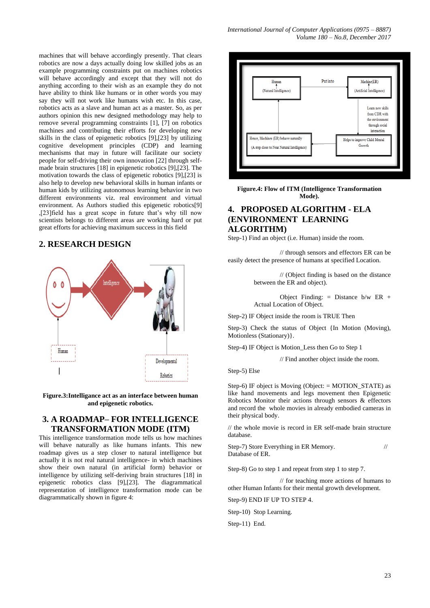machines that will behave accordingly presently. That clears robotics are now a days actually doing low skilled jobs as an example programming constraints put on machines robotics will behave accordingly and except that they will not do anything according to their wish as an example they do not have ability to think like humans or in other words you may say they will not work like humans wish etc. In this case, robotics acts as a slave and human act as a master. So, as per authors opinion this new designed methodology may help to remove several programming constraints [1], [7] on robotics machines and contributing their efforts for developing new skills in the class of epigenetic robotics [9],[23] by utilizing cognitive development principles (CDP) and learning mechanisms that may in future will facilitate our society people for self-driving their own innovation [22] through selfmade brain structures [18] in epigenetic robotics [9],[23]. The motivation towards the class of epigenetic robotics [9],[23] is also help to develop new behavioral skills in human infants or human kids by utilizing autonomous learning behavior in two different environments viz. real environment and virtual environment. As Authors studied this epigenetic robotics[9] ,[23]field has a great scope in future that's why till now scientists belongs to different areas are working hard or put great efforts for achieving maximum success in this field

#### **2. RESEARCH DESIGN**



**Figure.3:Intelligance act as an interface between human and epigenetic robotics.**

# **3. A ROADMAP– FOR INTELLIGENCE TRANSFORMATION MODE (ITM)**

This intelligence transformation mode tells us how machines will behave naturally as like humans infants. This new roadmap gives us a step closer to natural intelligence but actually it is not real natural intelligence- in which machines show their own natural (in artificial form) behavior or intelligence by utilizing self-deriving brain structures [18] in epigenetic robotics class [9],[23]. The diagrammatical representation of intelligence transformation mode can be diagrammatically shown in figure 4:



**Figure.4: Flow of ITM (Intelligence Transformation Mode).**

# **4. PROPOSED ALGORITHM - ELA (ENVIRONMENT LEARNING ALGORITHM)**

Step-1) Find an object (i.e. Human) inside the room.

// through sensors and effectors ER can be easily detect the presence of humans at specified Location.

> // (Object finding is based on the distance between the ER and object).

> Object Finding:  $=$  Distance b/w ER  $+$ Actual Location of Object.

Step-2) IF Object inside the room is TRUE Then

Step-3) Check the status of Object {In Motion (Moving), Motionless (Stationary)}.

Step-4) IF Object is Motion\_Less then Go to Step 1

// Find another object inside the room.

Step-5) Else

Step-6) IF object is Moving (Object:  $=$  MOTION STATE) as like hand movements and legs movement then Epigenetic Robotics Monitor their actions through sensors & effectors and record the whole movies in already embodied cameras in their physical body.

// the whole movie is record in ER self-made brain structure database.

Step-7) Store Everything in ER Memory. // Database of ER.

Step-8) Go to step 1 and repeat from step 1 to step 7.

// for teaching more actions of humans to other Human Infants for their mental growth development.

Step-9) END IF UP TO STEP 4.

Step-10) Stop Learning.

Step-11) End.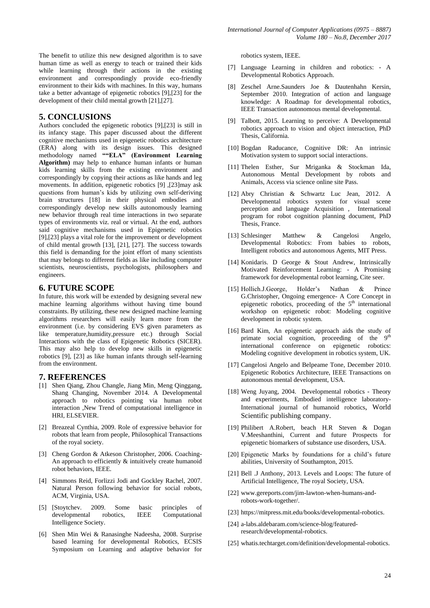The benefit to utilize this new designed algorithm is to save human time as well as energy to teach or trained their kids while learning through their actions in the existing environment and correspondingly provide eco-friendly environment to their kids with machines. In this way, humans take a better advantage of epigenetic robotics [9],[23] for the development of their child mental growth [21],[27].

#### **5. CONCLUSIONS**

Authors concluded the epigenetic robotics [9],[23] is still in its infancy stage. This paper discussed about the different cognitive mechanisms used in epigenetic robotics architecture (ERA) along with its design issues. This designed methodology named **""ELA" (Environment Learning Algorithm)** may help to enhance human infants or human kids learning skills from the existing environment and correspondingly by copying their actions as like hands and leg movements. In addition, epigenetic robotics [9] ,[23]may ask questions from human's kids by utilizing own self-deriving brain structures [18] in their physical embodies and correspondingly develop new skills autonomously learning new behavior through real time interactions in two separate types of environments viz. real or virtual. At the end, authors said cognitive mechanisms used in Epigenetic robotics [9],[23] plays a vital role for the improvement or development of child mental growth [13], [21], [27]. The success towards this field is demanding for the joint effort of many scientists that may belongs to different fields as like including computer scientists, neuroscientists, psychologists, philosophers and engineers.

#### **6. FUTURE SCOPE**

In future, this work will be extended by designing several new machine learning algorithms without having time bound constraints. By utilizing, these new designed machine learning algorithms researchers will easily learn more from the environment (i.e. by considering EVS given parameters as like temperature,humidity,pressure etc.) through Social Interactions with the class of Epigenetic Robotics (SICER). This may also help to develop new skills in epigenetic robotics [9], [23] as like human infants through self-learning from the environment.

#### **7. REFERENCES**

- [1] Shen Qiang, Zhou Changle, Jiang Min, Meng Qinggang, Shang Changing, November 2014. A Developmental approach to robotics pointing via human robot interaction ,New Trend of computational intelligence in HRI, ELSEVIER.
- [2] Breazeal Cynthia, 2009. Role of expressive behavior for robots that learn from people, Philosophical Transactions of the royal society.
- [3] Cheng Gordon & Atkeson Christopher, 2006. Coaching-An approach to efficiently & intuitively create humanoid robot behaviors, IEEE.
- [4] Simmons Reid, Forlizzi Jodi and Gockley Rachel, 2007. Natural Person following behavior for social robots, ACM, Virginia, USA.
- [5] [Stoytchev. 2009. Some basic principles of developmental robotics, IEEE Computational Intelligence Society.
- [6] Shen Min Wei & Ranasinghe Nadeesha, 2008. Surprise based learning for developmental Robotics, ECSIS Symposium on Learning and adaptive behavior for

robotics system, IEEE.

- [7] Language Learning in children and robotics: A Developmental Robotics Approach.
- [8] Zeschel Arne.Saunders Joe & Dautenhahn Kersin, September 2010. Integration of action and language knowledge: A Roadmap for developmental robotics, IEEE Transaction autonomous mental developmental.
- [9] Talbott, 2015. Learning to perceive: A Developmental robotics approach to vision and object interaction, PhD Thesis, California.
- [10] Bogdan Raducance, Cognitive DR: An intrinsic Motivation system to support social interactions.
- [11] Thelen Esther, Sur Mriganka & Stockman Ida, Autonomous Mental Development by robots and Animals, Access via science online site Pass.
- [12] Abry Christian & Schwartz Luc Jean, 2012. A Developmental robotics system for visual scene perception and language Acquisition , International program for robot cognition planning document, PhD Thesis, France.
- [13] Schlesinger Matthew & Cangelosi Angelo, Developmental Robotics: From babies to robots, Intelligent robotics and autonomous Agents, MIT Press.
- [14] Konidaris. D George & Stout Andrew, Intrinsically Motivated Reinforcement Learning: - A Promising framework for developmental robot learning, Cite seer.
- [15] Hollich.J.George, Holder's Nathan & Prince G.Christopher, Ongoing emergence- A Core Concept in epigenetic robotics, proceeding of the  $5<sup>th</sup>$  international workshop on epigenetic robot: Modeling cognitive development in robotic system.
- [16] Bard Kim, An epigenetic approach aids the study of primate social cognition, proceeding of the 9<sup>th</sup> international conference on epigenetic robotics: Modeling cognitive development in robotics system, UK.
- [17] Cangelosi Angelo and Belpeame Tone, December 2010. Epigenetic Robotics Architecture, IEEE Transactions on autonomous mental development, USA.
- [18] Weng Juyang, 2004. Developmental robotics Theory and experiments, Embodied intelligence laboratory-International journal of humanoid robotics, World Scientific publishing company.
- [19] Philibert A.Robert, beach H.R Steven & Dogan V.Meeshanthini, Current and future Prospects for epigenetic biomarkers of substance use disorders, USA.
- [20] Epigenetic Marks by foundations for a child's future abilities, University of Southampton, 2015.
- [21] Bell .J Anthony, 2013. Levels and Loops: The future of Artificial Intelligence, The royal Society, USA.
- [22] [www.gereports.com/jim-lawton-when-humans-and](http://www.gereports.com/jim-lawton-when-humans-and-robots-work-together/)[robots-work-together/.](http://www.gereports.com/jim-lawton-when-humans-and-robots-work-together/)
- [23] [https://mitpress.mit.edu/books/developmental-robotics.](https://mitpress.mit.edu/books/developmental-robotics)
- [24] a-labs.aldebaram.com/science-blog/featuredresearch/developmental-robotics.
- [25] whatis.techtarget.com/definition/developmental-robotics.